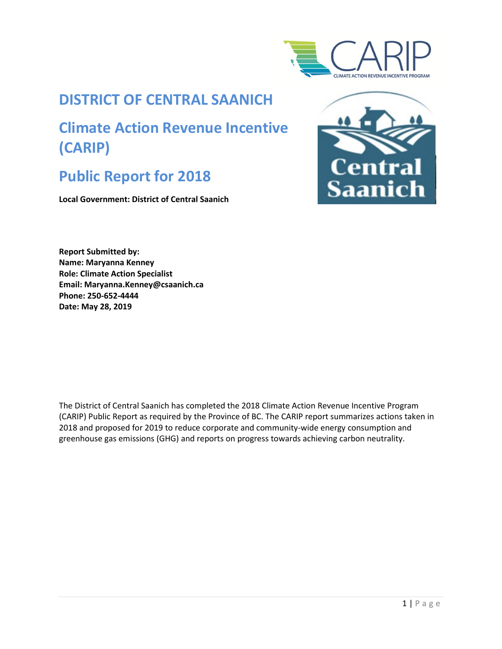

# **DISTRICT OF CENTRAL SAANICH**

# **Climate Action Revenue Incentive (CARIP)**

# **Public Report for 2018**

**Local Government: District of Central Saanich** 



**Report Submitted by: Name: Maryanna Kenney Role: Climate Action Specialist Email: Maryanna.Kenney@csaanich.ca Phone: 250-652-4444 Date: May 28, 2019**

The District of Central Saanich has completed the 2018 Climate Action Revenue Incentive Program (CARIP) Public Report as required by the Province of BC. The CARIP report summarizes actions taken in 2018 and proposed for 2019 to reduce corporate and community-wide energy consumption and greenhouse gas emissions (GHG) and reports on progress towards achieving carbon neutrality.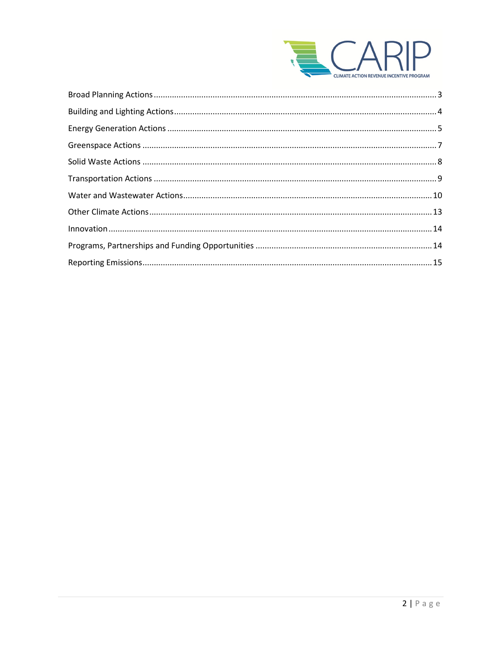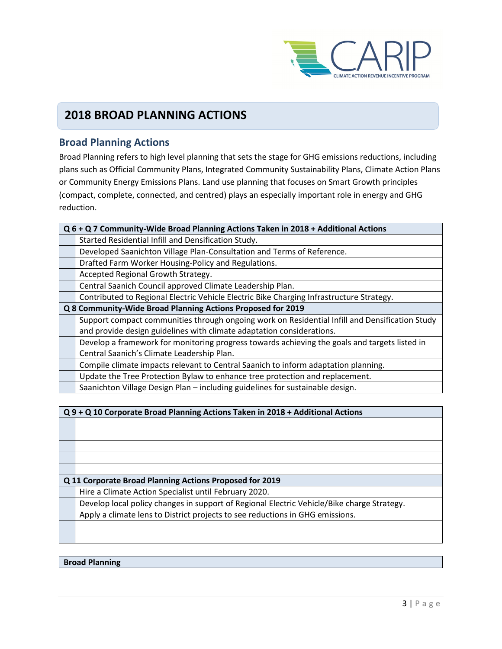

## **2018 BROAD PLANNING ACTIONS**

## <span id="page-2-0"></span>**Broad Planning Actions**

Broad Planning refers to high level planning that sets the stage for GHG emissions reductions, including plans such as Official Community Plans, Integrated Community Sustainability Plans, Climate Action Plans or Community Energy Emissions Plans. Land use planning that focuses on Smart Growth principles (compact, complete, connected, and centred) plays an especially important role in energy and GHG reduction.

| Q 6 + Q 7 Community-Wide Broad Planning Actions Taken in 2018 + Additional Actions             |  |
|------------------------------------------------------------------------------------------------|--|
| Started Residential Infill and Densification Study.                                            |  |
| Developed Saanichton Village Plan-Consultation and Terms of Reference.                         |  |
| Drafted Farm Worker Housing-Policy and Regulations.                                            |  |
| Accepted Regional Growth Strategy.                                                             |  |
| Central Saanich Council approved Climate Leadership Plan.                                      |  |
| Contributed to Regional Electric Vehicle Electric Bike Charging Infrastructure Strategy.       |  |
| Q 8 Community-Wide Broad Planning Actions Proposed for 2019                                    |  |
| Support compact communities through ongoing work on Residential Infill and Densification Study |  |
| and provide design guidelines with climate adaptation considerations.                          |  |
| Develop a framework for monitoring progress towards achieving the goals and targets listed in  |  |
| Central Saanich's Climate Leadership Plan.                                                     |  |
| Compile climate impacts relevant to Central Saanich to inform adaptation planning.             |  |
| Update the Tree Protection Bylaw to enhance tree protection and replacement.                   |  |
| Saanichton Village Design Plan - including guidelines for sustainable design.                  |  |

| Q 9 + Q 10 Corporate Broad Planning Actions Taken in 2018 + Additional Actions             |  |  |
|--------------------------------------------------------------------------------------------|--|--|
|                                                                                            |  |  |
|                                                                                            |  |  |
|                                                                                            |  |  |
|                                                                                            |  |  |
|                                                                                            |  |  |
| Q 11 Corporate Broad Planning Actions Proposed for 2019                                    |  |  |
| Hire a Climate Action Specialist until February 2020.                                      |  |  |
| Develop local policy changes in support of Regional Electric Vehicle/Bike charge Strategy. |  |  |
| Apply a climate lens to District projects to see reductions in GHG emissions.              |  |  |
|                                                                                            |  |  |
|                                                                                            |  |  |
|                                                                                            |  |  |

**Broad Planning**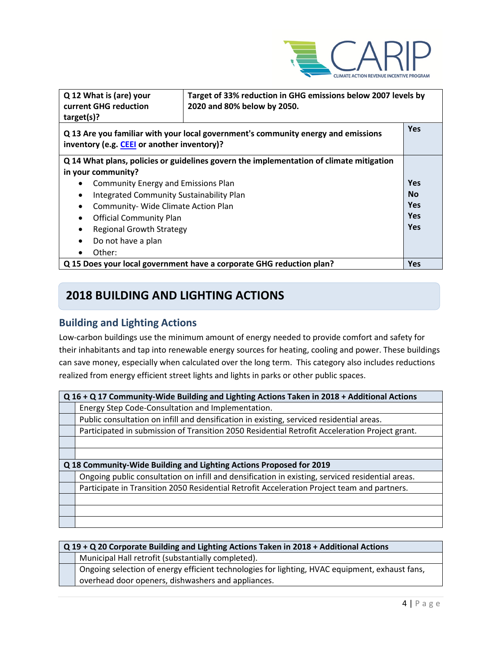

| Q 12 What is (are) your<br>Target of 33% reduction in GHG emissions below 2007 levels by<br>current GHG reduction<br>2020 and 80% below by 2050.<br>target(s)? |                                                                                   |            |
|----------------------------------------------------------------------------------------------------------------------------------------------------------------|-----------------------------------------------------------------------------------|------------|
| inventory (e.g. CEEI or another inventory)?                                                                                                                    | Q 13 Are you familiar with your local government's community energy and emissions | <b>Yes</b> |
| Q 14 What plans, policies or guidelines govern the implementation of climate mitigation                                                                        |                                                                                   |            |
| in your community?                                                                                                                                             |                                                                                   |            |
| <b>Community Energy and Emissions Plan</b>                                                                                                                     |                                                                                   | <b>Yes</b> |
| Integrated Community Sustainability Plan<br>٠                                                                                                                  |                                                                                   | <b>No</b>  |
| Community- Wide Climate Action Plan<br>$\bullet$                                                                                                               |                                                                                   | <b>Yes</b> |
| <b>Official Community Plan</b><br>$\bullet$                                                                                                                    |                                                                                   | <b>Yes</b> |
| <b>Regional Growth Strategy</b>                                                                                                                                |                                                                                   | <b>Yes</b> |
| Do not have a plan<br>$\bullet$                                                                                                                                |                                                                                   |            |
| Other:                                                                                                                                                         |                                                                                   |            |
| Q 15 Does your local government have a corporate GHG reduction plan?                                                                                           |                                                                                   | <b>Yes</b> |

# **2018 BUILDING AND LIGHTING ACTIONS**

## <span id="page-3-0"></span>**Building and Lighting Actions**

Low-carbon buildings use the minimum amount of energy needed to provide comfort and safety for their inhabitants and tap into renewable energy sources for heating, cooling and power. These buildings can save money, especially when calculated over the long term. This category also includes reductions realized from energy efficient street lights and lights in parks or other public spaces.

| Q 16 + Q 17 Community-Wide Building and Lighting Actions Taken in 2018 + Additional Actions      |  |  |
|--------------------------------------------------------------------------------------------------|--|--|
| Energy Step Code-Consultation and Implementation.                                                |  |  |
| Public consultation on infill and densification in existing, serviced residential areas.         |  |  |
| Participated in submission of Transition 2050 Residential Retrofit Acceleration Project grant.   |  |  |
|                                                                                                  |  |  |
|                                                                                                  |  |  |
| Q 18 Community-Wide Building and Lighting Actions Proposed for 2019                              |  |  |
| Ongoing public consultation on infill and densification in existing, serviced residential areas. |  |  |
| Participate in Transition 2050 Residential Retrofit Acceleration Project team and partners.      |  |  |
|                                                                                                  |  |  |
|                                                                                                  |  |  |
|                                                                                                  |  |  |

| $Q$ 19 + Q 20 Corporate Building and Lighting Actions Taken in 2018 + Additional Actions       |  |
|------------------------------------------------------------------------------------------------|--|
| Municipal Hall retrofit (substantially completed).                                             |  |
| Ongoing selection of energy efficient technologies for lighting, HVAC equipment, exhaust fans, |  |
| overhead door openers, dishwashers and appliances.                                             |  |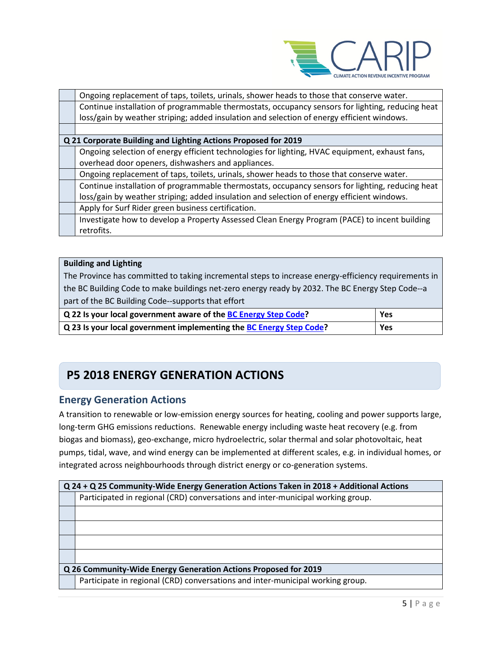

| Ongoing replacement of taps, toilets, urinals, shower heads to those that conserve water.        |  |  |
|--------------------------------------------------------------------------------------------------|--|--|
| Continue installation of programmable thermostats, occupancy sensors for lighting, reducing heat |  |  |
| loss/gain by weather striping; added insulation and selection of energy efficient windows.       |  |  |
|                                                                                                  |  |  |
| Q 21 Corporate Building and Lighting Actions Proposed for 2019                                   |  |  |
| Ongoing selection of energy efficient technologies for lighting, HVAC equipment, exhaust fans,   |  |  |
| overhead door openers, dishwashers and appliances.                                               |  |  |
| Ongoing replacement of taps, toilets, urinals, shower heads to those that conserve water.        |  |  |
| Continue installation of programmable thermostats, occupancy sensors for lighting, reducing heat |  |  |
| loss/gain by weather striping; added insulation and selection of energy efficient windows.       |  |  |
| Apply for Surf Rider green business certification.                                               |  |  |
| Investigate how to develop a Property Assessed Clean Energy Program (PACE) to incent building    |  |  |
| retrofits.                                                                                       |  |  |

#### **Building and Lighting**

The Province has committed to taking incremental steps to increase energy-efficiency requirements in the BC Building Code to make buildings net-zero energy ready by 2032. The BC Energy Step Code--a part of the BC Building Code--supports that effort

| Q 22 Is your local government aware of the BC Energy Step Code?     | Yes |
|---------------------------------------------------------------------|-----|
| Q 23 Is your local government implementing the BC Energy Step Code? | Yes |

# **P5 2018 ENERGY GENERATION ACTIONS**

## <span id="page-4-0"></span>**Energy Generation Actions**

A transition to renewable or low-emission energy sources for heating, cooling and power supports large, long-term GHG emissions reductions. Renewable energy including waste heat recovery (e.g. from biogas and biomass), geo-exchange, micro hydroelectric, solar thermal and solar photovoltaic, heat pumps, tidal, wave, and wind energy can be implemented at different scales, e.g. in individual homes, or integrated across neighbourhoods through district energy or co-generation systems.

| Q 24 + Q 25 Community-Wide Energy Generation Actions Taken in 2018 + Additional Actions |  |
|-----------------------------------------------------------------------------------------|--|
| Participated in regional (CRD) conversations and inter-municipal working group.         |  |
|                                                                                         |  |
|                                                                                         |  |
|                                                                                         |  |
|                                                                                         |  |
| Q 26 Community-Wide Energy Generation Actions Proposed for 2019                         |  |
| Participate in regional (CRD) conversations and inter-municipal working group.          |  |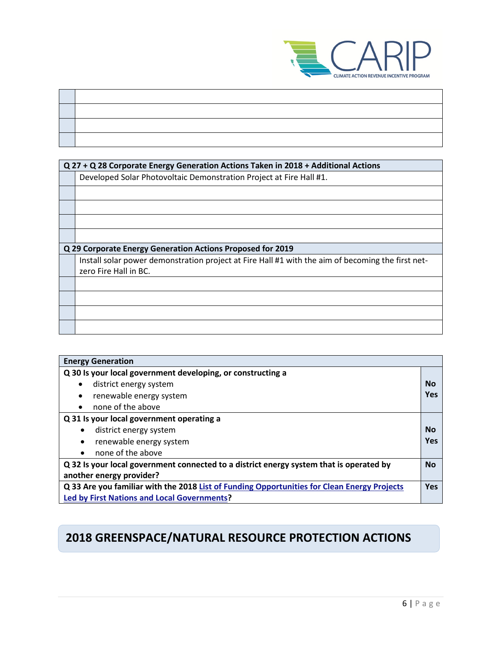

| Q 27 + Q 28 Corporate Energy Generation Actions Taken in 2018 + Additional Actions                |  |  |
|---------------------------------------------------------------------------------------------------|--|--|
| Developed Solar Photovoltaic Demonstration Project at Fire Hall #1.                               |  |  |
|                                                                                                   |  |  |
|                                                                                                   |  |  |
|                                                                                                   |  |  |
|                                                                                                   |  |  |
|                                                                                                   |  |  |
| Q 29 Corporate Energy Generation Actions Proposed for 2019                                        |  |  |
|                                                                                                   |  |  |
| Install solar power demonstration project at Fire Hall #1 with the aim of becoming the first net- |  |  |
| zero Fire Hall in BC.                                                                             |  |  |
|                                                                                                   |  |  |
|                                                                                                   |  |  |
|                                                                                                   |  |  |
|                                                                                                   |  |  |
|                                                                                                   |  |  |

| <b>Energy Generation</b>                                                                    |           |
|---------------------------------------------------------------------------------------------|-----------|
| Q 30 Is your local government developing, or constructing a                                 |           |
| district energy system                                                                      | <b>No</b> |
| renewable energy system<br>$\bullet$                                                        | Yes       |
| none of the above<br>$\bullet$                                                              |           |
| Q 31 Is your local government operating a                                                   |           |
| district energy system                                                                      | No        |
| renewable energy system<br>$\bullet$                                                        | Yes       |
| none of the above<br>$\bullet$                                                              |           |
| Q 32 Is your local government connected to a district energy system that is operated by     | <b>No</b> |
| another energy provider?                                                                    |           |
| Q 33 Are you familiar with the 2018 List of Funding Opportunities for Clean Energy Projects |           |
| <b>Led by First Nations and Local Governments?</b>                                          |           |

# **2018 GREENSPACE/NATURAL RESOURCE PROTECTION ACTIONS**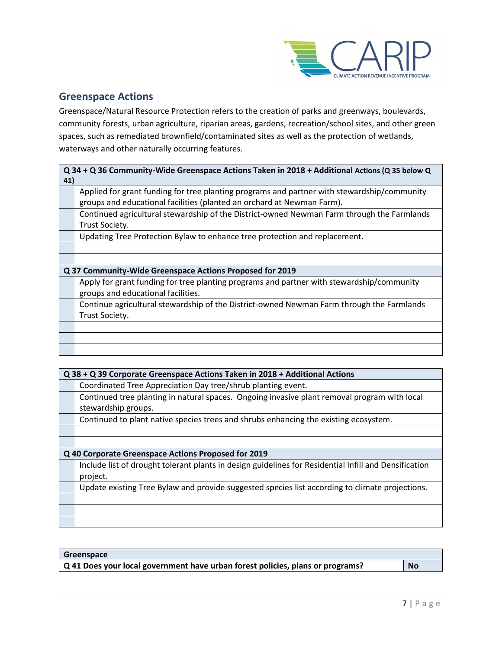

## <span id="page-6-0"></span>**Greenspace Actions**

Greenspace/Natural Resource Protection refers to the creation of parks and greenways, boulevards, community forests, urban agriculture, riparian areas, gardens, recreation/school sites, and other green spaces, such as remediated brownfield/contaminated sites as well as the protection of wetlands, waterways and other naturally occurring features.

| 41) | Q 34 + Q 36 Community-Wide Greenspace Actions Taken in 2018 + Additional Actions (Q 35 below Q |
|-----|------------------------------------------------------------------------------------------------|
|     | Applied for grant funding for tree planting programs and partner with stewardship/community    |
|     | groups and educational facilities (planted an orchard at Newman Farm).                         |
|     | Continued agricultural stewardship of the District-owned Newman Farm through the Farmlands     |
|     | Trust Society.                                                                                 |
|     | Updating Tree Protection Bylaw to enhance tree protection and replacement.                     |
|     |                                                                                                |
|     |                                                                                                |
|     | Q 37 Community-Wide Greenspace Actions Proposed for 2019                                       |
|     | Apply for grant funding for tree planting programs and partner with stewardship/community      |
|     | groups and educational facilities.                                                             |
|     | Continue agricultural stewardship of the District-owned Newman Farm through the Farmlands      |
|     | Trust Society.                                                                                 |
|     |                                                                                                |
|     |                                                                                                |
|     |                                                                                                |

| Q 38 + Q 39 Corporate Greenspace Actions Taken in 2018 + Additional Actions                           |  |
|-------------------------------------------------------------------------------------------------------|--|
| Coordinated Tree Appreciation Day tree/shrub planting event.                                          |  |
| Continued tree planting in natural spaces. Ongoing invasive plant removal program with local          |  |
| stewardship groups.                                                                                   |  |
| Continued to plant native species trees and shrubs enhancing the existing ecosystem.                  |  |
|                                                                                                       |  |
|                                                                                                       |  |
| Q 40 Corporate Greenspace Actions Proposed for 2019                                                   |  |
| Include list of drought tolerant plants in design guidelines for Residential Infill and Densification |  |
| project.                                                                                              |  |
| Update existing Tree Bylaw and provide suggested species list according to climate projections.       |  |
|                                                                                                       |  |
|                                                                                                       |  |
|                                                                                                       |  |

| Greenspace                                                                     |           |
|--------------------------------------------------------------------------------|-----------|
| Q 41 Does your local government have urban forest policies, plans or programs? | <b>No</b> |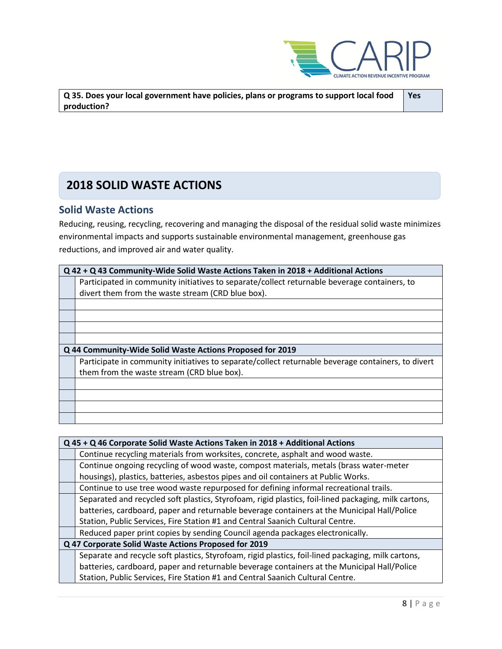

<span id="page-7-0"></span>

| $\mid$ Q 35. Does your local government have policies, plans or programs to support local food | Yes |
|------------------------------------------------------------------------------------------------|-----|
| production?                                                                                    |     |

# **2018 SOLID WASTE ACTIONS**

## **Solid Waste Actions**

Reducing, reusing, recycling, recovering and managing the disposal of the residual solid waste minimizes environmental impacts and supports sustainable environmental management, greenhouse gas reductions, and improved air and water quality.

| Q 42 + Q 43 Community-Wide Solid Waste Actions Taken in 2018 + Additional Actions                  |  |
|----------------------------------------------------------------------------------------------------|--|
| Participated in community initiatives to separate/collect returnable beverage containers, to       |  |
| divert them from the waste stream (CRD blue box).                                                  |  |
|                                                                                                    |  |
|                                                                                                    |  |
|                                                                                                    |  |
|                                                                                                    |  |
| Q 44 Community-Wide Solid Waste Actions Proposed for 2019                                          |  |
| Participate in community initiatives to separate/collect returnable beverage containers, to divert |  |
| them from the waste stream (CRD blue box).                                                         |  |
|                                                                                                    |  |
|                                                                                                    |  |
|                                                                                                    |  |
|                                                                                                    |  |

| Q 45 + Q 46 Corporate Solid Waste Actions Taken in 2018 + Additional Actions                         |  |
|------------------------------------------------------------------------------------------------------|--|
| Continue recycling materials from worksites, concrete, asphalt and wood waste.                       |  |
| Continue ongoing recycling of wood waste, compost materials, metals (brass water-meter               |  |
| housings), plastics, batteries, asbestos pipes and oil containers at Public Works.                   |  |
| Continue to use tree wood waste repurposed for defining informal recreational trails.                |  |
| Separated and recycled soft plastics, Styrofoam, rigid plastics, foil-lined packaging, milk cartons, |  |
| batteries, cardboard, paper and returnable beverage containers at the Municipal Hall/Police          |  |
| Station, Public Services, Fire Station #1 and Central Saanich Cultural Centre.                       |  |
| Reduced paper print copies by sending Council agenda packages electronically.                        |  |
| Q 47 Corporate Solid Waste Actions Proposed for 2019                                                 |  |
| Separate and recycle soft plastics, Styrofoam, rigid plastics, foil-lined packaging, milk cartons,   |  |
| batteries, cardboard, paper and returnable beverage containers at the Municipal Hall/Police          |  |
| Station, Public Services, Fire Station #1 and Central Saanich Cultural Centre.                       |  |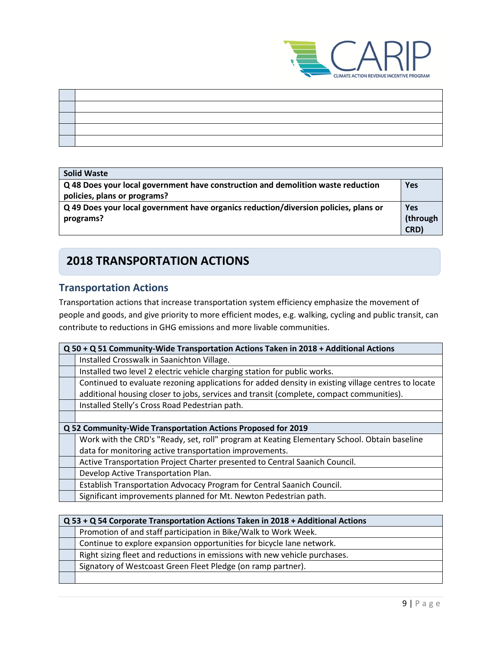

| the contract of the contract of the contract of the contract of the contract of |
|---------------------------------------------------------------------------------|
|                                                                                 |
|                                                                                 |
|                                                                                 |
|                                                                                 |

## **Solid Waste**

| Q 48 Does your local government have construction and demolition waste reduction     | <b>Yes</b> |
|--------------------------------------------------------------------------------------|------------|
| policies, plans or programs?                                                         |            |
| Q 49 Does your local government have organics reduction/diversion policies, plans or | Yes        |
| programs?                                                                            | (through   |
|                                                                                      | CRD)       |

# **2018 TRANSPORTATION ACTIONS**

## <span id="page-8-0"></span>**Transportation Actions**

Transportation actions that increase transportation system efficiency emphasize the movement of people and goods, and give priority to more efficient modes, e.g. walking, cycling and public transit, can contribute to reductions in GHG emissions and more livable communities.

| Q 50 + Q 51 Community-Wide Transportation Actions Taken in 2018 + Additional Actions                |  |
|-----------------------------------------------------------------------------------------------------|--|
| Installed Crosswalk in Saanichton Village.                                                          |  |
| Installed two level 2 electric vehicle charging station for public works.                           |  |
| Continued to evaluate rezoning applications for added density in existing village centres to locate |  |
| additional housing closer to jobs, services and transit (complete, compact communities).            |  |
| Installed Stelly's Cross Road Pedestrian path.                                                      |  |
|                                                                                                     |  |
| Q 52 Community-Wide Transportation Actions Proposed for 2019                                        |  |
| Work with the CRD's "Ready, set, roll" program at Keating Elementary School. Obtain baseline        |  |
| data for monitoring active transportation improvements.                                             |  |
| Active Transportation Project Charter presented to Central Saanich Council.                         |  |
| Develop Active Transportation Plan.                                                                 |  |
| Establish Transportation Advocacy Program for Central Saanich Council.                              |  |
| Significant improvements planned for Mt. Newton Pedestrian path.                                    |  |

| Q 53 + Q 54 Corporate Transportation Actions Taken in 2018 + Additional Actions |  |
|---------------------------------------------------------------------------------|--|
| Promotion of and staff participation in Bike/Walk to Work Week.                 |  |
| Continue to explore expansion opportunities for bicycle lane network.           |  |
| Right sizing fleet and reductions in emissions with new vehicle purchases.      |  |
| Signatory of Westcoast Green Fleet Pledge (on ramp partner).                    |  |
|                                                                                 |  |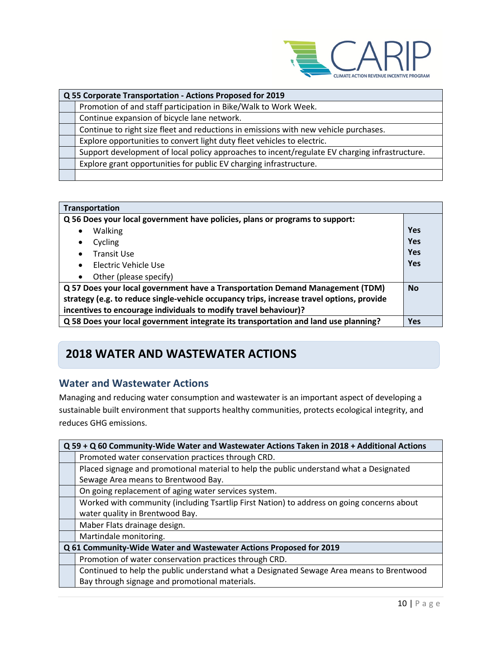

| Q 55 Corporate Transportation - Actions Proposed for 2019                                     |  |
|-----------------------------------------------------------------------------------------------|--|
| Promotion of and staff participation in Bike/Walk to Work Week.                               |  |
| Continue expansion of bicycle lane network.                                                   |  |
| Continue to right size fleet and reductions in emissions with new vehicle purchases.          |  |
| Explore opportunities to convert light duty fleet vehicles to electric.                       |  |
| Support development of local policy approaches to incent/regulate EV charging infrastructure. |  |
| Explore grant opportunities for public EV charging infrastructure.                            |  |
|                                                                                               |  |

| Transportation                                                                            |            |
|-------------------------------------------------------------------------------------------|------------|
| Q 56 Does your local government have policies, plans or programs to support:              |            |
| <b>Walking</b><br>$\bullet$                                                               | Yes        |
| Cycling<br>٠                                                                              | <b>Yes</b> |
| <b>Transit Use</b><br>$\bullet$                                                           | Yes        |
| Electric Vehicle Use<br>$\bullet$                                                         | <b>Yes</b> |
| Other (please specify)<br>$\bullet$                                                       |            |
| Q 57 Does your local government have a Transportation Demand Management (TDM)             |            |
| strategy (e.g. to reduce single-vehicle occupancy trips, increase travel options, provide |            |
| incentives to encourage individuals to modify travel behaviour)?                          |            |
| Q 58 Does your local government integrate its transportation and land use planning?       | <b>Yes</b> |

# **2018 WATER AND WASTEWATER ACTIONS**

## <span id="page-9-0"></span>**Water and Wastewater Actions**

Managing and reducing water consumption and wastewater is an important aspect of developing a sustainable built environment that supports healthy communities, protects ecological integrity, and reduces GHG emissions.

| Q 59 + Q 60 Community-Wide Water and Wastewater Actions Taken in 2018 + Additional Actions |  |
|--------------------------------------------------------------------------------------------|--|
| Promoted water conservation practices through CRD.                                         |  |
| Placed signage and promotional material to help the public understand what a Designated    |  |
| Sewage Area means to Brentwood Bay.                                                        |  |
| On going replacement of aging water services system.                                       |  |
| Worked with community (including Tsartlip First Nation) to address on going concerns about |  |
| water quality in Brentwood Bay.                                                            |  |
| Maber Flats drainage design.                                                               |  |
| Martindale monitoring.                                                                     |  |
| Q 61 Community-Wide Water and Wastewater Actions Proposed for 2019                         |  |
| Promotion of water conservation practices through CRD.                                     |  |
| Continued to help the public understand what a Designated Sewage Area means to Brentwood   |  |
| Bay through signage and promotional materials.                                             |  |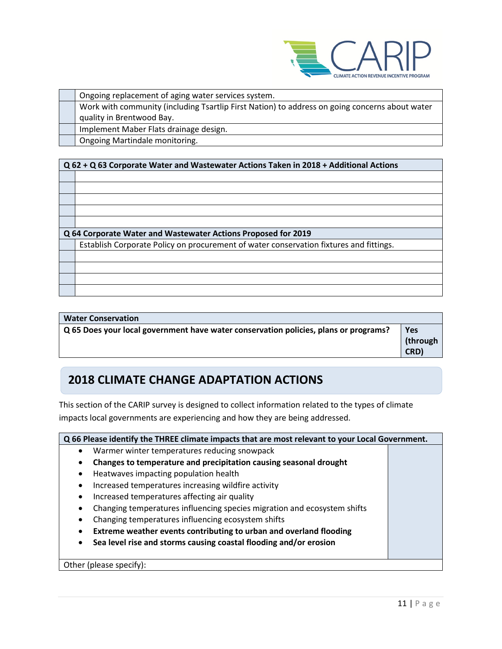

| Ongoing replacement of aging water services system.                                            |
|------------------------------------------------------------------------------------------------|
| Work with community (including Tsartlip First Nation) to address on going concerns about water |
| quality in Brentwood Bay.                                                                      |
| Implement Maber Flats drainage design.                                                         |
| Ongoing Martindale monitoring.                                                                 |

### **Q 62 + Q 63 Corporate Water and Wastewater Actions Taken in 2018 + Additional Actions**

| Q 64 Corporate Water and Wastewater Actions Proposed for 2019                          |  |
|----------------------------------------------------------------------------------------|--|
| Establish Corporate Policy on procurement of water conservation fixtures and fittings. |  |
|                                                                                        |  |
|                                                                                        |  |
|                                                                                        |  |
|                                                                                        |  |
|                                                                                        |  |

| <b>Water Conservation</b>                                                            |          |
|--------------------------------------------------------------------------------------|----------|
| Q 65 Does your local government have water conservation policies, plans or programs? | Yes      |
|                                                                                      | (through |
|                                                                                      | CRD)     |

# **2018 CLIMATE CHANGE ADAPTATION ACTIONS**

This section of the CARIP survey is designed to collect information related to the types of climate impacts local governments are experiencing and how they are being addressed.

| Q 66 Please identify the THREE climate impacts that are most relevant to your Local Government. |                                                                          |  |  |
|-------------------------------------------------------------------------------------------------|--------------------------------------------------------------------------|--|--|
| $\bullet$                                                                                       | Warmer winter temperatures reducing snowpack                             |  |  |
| $\bullet$                                                                                       | Changes to temperature and precipitation causing seasonal drought        |  |  |
| $\bullet$                                                                                       | Heatwaves impacting population health                                    |  |  |
| $\bullet$                                                                                       | Increased temperatures increasing wildfire activity                      |  |  |
| $\bullet$                                                                                       | Increased temperatures affecting air quality                             |  |  |
| ٠                                                                                               | Changing temperatures influencing species migration and ecosystem shifts |  |  |
| $\bullet$                                                                                       | Changing temperatures influencing ecosystem shifts                       |  |  |
|                                                                                                 | Extreme weather events contributing to urban and overland flooding       |  |  |
| $\bullet$                                                                                       | Sea level rise and storms causing coastal flooding and/or erosion        |  |  |
|                                                                                                 |                                                                          |  |  |
|                                                                                                 | Other (please specify):                                                  |  |  |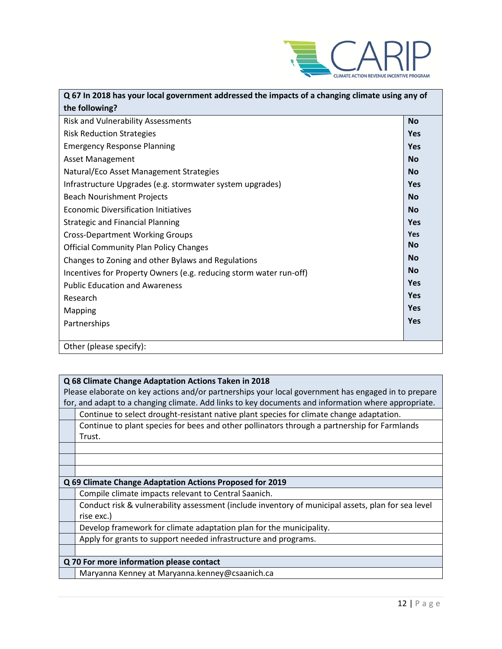

| Q 67 In 2018 has your local government addressed the impacts of a changing climate using any of |            |  |
|-------------------------------------------------------------------------------------------------|------------|--|
| the following?                                                                                  |            |  |
| <b>Risk and Vulnerability Assessments</b>                                                       | <b>No</b>  |  |
| <b>Risk Reduction Strategies</b>                                                                | <b>Yes</b> |  |
| <b>Emergency Response Planning</b>                                                              | Yes        |  |
| <b>Asset Management</b>                                                                         | <b>No</b>  |  |
| Natural/Eco Asset Management Strategies                                                         | <b>No</b>  |  |
| Infrastructure Upgrades (e.g. stormwater system upgrades)                                       | <b>Yes</b> |  |
| <b>Beach Nourishment Projects</b>                                                               | <b>No</b>  |  |
| <b>Economic Diversification Initiatives</b>                                                     | <b>No</b>  |  |
| <b>Strategic and Financial Planning</b>                                                         | <b>Yes</b> |  |
| <b>Cross-Department Working Groups</b>                                                          | <b>Yes</b> |  |
| <b>Official Community Plan Policy Changes</b>                                                   | <b>No</b>  |  |
| Changes to Zoning and other Bylaws and Regulations                                              | <b>No</b>  |  |
| Incentives for Property Owners (e.g. reducing storm water run-off)                              | <b>No</b>  |  |
| <b>Public Education and Awareness</b>                                                           | Yes        |  |
| Research                                                                                        | Yes        |  |
| Mapping                                                                                         | <b>Yes</b> |  |
| Partnerships                                                                                    | <b>Yes</b> |  |
|                                                                                                 |            |  |
| Other (please specify):                                                                         |            |  |

|                                          | Q 68 Climate Change Adaptation Actions Taken in 2018                                                |  |  |
|------------------------------------------|-----------------------------------------------------------------------------------------------------|--|--|
|                                          | Please elaborate on key actions and/or partnerships your local government has engaged in to prepare |  |  |
|                                          | for, and adapt to a changing climate. Add links to key documents and information where appropriate. |  |  |
|                                          | Continue to select drought-resistant native plant species for climate change adaptation.            |  |  |
|                                          | Continue to plant species for bees and other pollinators through a partnership for Farmlands        |  |  |
|                                          | Trust.                                                                                              |  |  |
|                                          |                                                                                                     |  |  |
|                                          |                                                                                                     |  |  |
|                                          |                                                                                                     |  |  |
|                                          | Q 69 Climate Change Adaptation Actions Proposed for 2019                                            |  |  |
|                                          | Compile climate impacts relevant to Central Saanich.                                                |  |  |
|                                          | Conduct risk & vulnerability assessment (include inventory of municipal assets, plan for sea level  |  |  |
|                                          | rise exc.)                                                                                          |  |  |
|                                          | Develop framework for climate adaptation plan for the municipality.                                 |  |  |
|                                          | Apply for grants to support needed infrastructure and programs.                                     |  |  |
|                                          |                                                                                                     |  |  |
| Q 70 For more information please contact |                                                                                                     |  |  |
|                                          | Maryanna Kenney at Maryanna.kenney@csaanich.ca                                                      |  |  |
|                                          |                                                                                                     |  |  |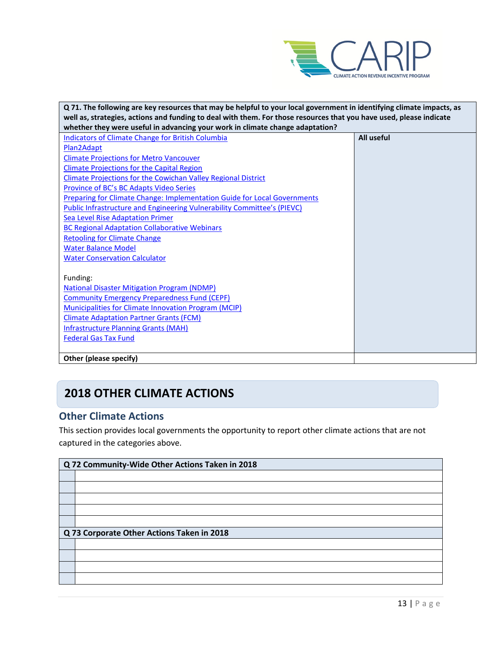

| Q 71. The following are key resources that may be helpful to your local government in identifying climate impacts, as |            |  |
|-----------------------------------------------------------------------------------------------------------------------|------------|--|
| well as, strategies, actions and funding to deal with them. For those resources that you have used, please indicate   |            |  |
| whether they were useful in advancing your work in climate change adaptation?                                         |            |  |
| Indicators of Climate Change for British Columbia                                                                     | All useful |  |
| Plan2Adapt                                                                                                            |            |  |
| <b>Climate Projections for Metro Vancouver</b>                                                                        |            |  |
| <b>Climate Projections for the Capital Region</b>                                                                     |            |  |
| <b>Climate Projections for the Cowichan Valley Regional District</b>                                                  |            |  |
| Province of BC's BC Adapts Video Series                                                                               |            |  |
| <b>Preparing for Climate Change: Implementation Guide for Local Governments</b>                                       |            |  |
| <b>Public Infrastructure and Engineering Vulnerability Committee's (PIEVC)</b>                                        |            |  |
| <b>Sea Level Rise Adaptation Primer</b>                                                                               |            |  |
| <b>BC Regional Adaptation Collaborative Webinars</b>                                                                  |            |  |
| <b>Retooling for Climate Change</b>                                                                                   |            |  |
| <b>Water Balance Model</b>                                                                                            |            |  |
| <b>Water Conservation Calculator</b>                                                                                  |            |  |
|                                                                                                                       |            |  |
| Funding:                                                                                                              |            |  |
| <b>National Disaster Mitigation Program (NDMP)</b>                                                                    |            |  |
| <b>Community Emergency Preparedness Fund (CEPF)</b>                                                                   |            |  |
| <b>Municipalities for Climate Innovation Program (MCIP)</b>                                                           |            |  |
| <b>Climate Adaptation Partner Grants (FCM)</b>                                                                        |            |  |
| <b>Infrastructure Planning Grants (MAH)</b>                                                                           |            |  |
| <b>Federal Gas Tax Fund</b>                                                                                           |            |  |
|                                                                                                                       |            |  |
| Other (please specify)                                                                                                |            |  |

# **2018 OTHER CLIMATE ACTIONS**

## <span id="page-12-0"></span>**Other Climate Actions**

This section provides local governments the opportunity to report other climate actions that are not captured in the categories above.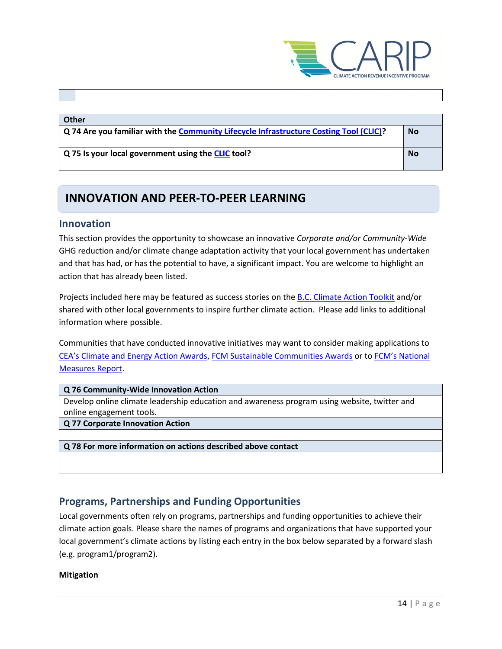

#### **Other**

**Q 74 Are you familiar with the [Community Lifecycle Infrastructure Costing Tool \(CLIC\)?](https://toolkit.bc.ca/Plan-Do/Community-Lifecycle-Infrastructure-Costing-CLIC-Tool) No**

**Q 75 Is your local government using the [CLIC](https://toolkit.bc.ca/Plan-Do/Community-Lifecycle-Infrastructure-Costing-CLIC-Tool) tool? No**

## **INNOVATION AND PEER-TO-PEER LEARNING**

#### <span id="page-13-0"></span>**Innovation**

This section provides the opportunity to showcase an innovative *Corporate and/or Community-Wide*  GHG reduction and/or climate change adaptation activity that your local government has undertaken and that has had, or has the potential to have, a significant impact. You are welcome to highlight an action that has already been listed.

Projects included here may be featured as success stories on th[e B.C. Climate Action Toolkit](http://www.toolkit.bc.ca/) and/or shared with other local governments to inspire further climate action. Please add links to additional information where possible.

Communities that have conducted innovative initiatives may want to consider making applications to [CEA's Climate and Energy Action Awards,](http://communityenergy.bc.ca/climate-and-energy-action-awards/) [FCM Sustainable Communities Awards](https://fcm.ca/home/awards/sustainable-communities-awards.htm) or t[o FCM's National](https://fcm.ca/home/programs/partners-for-climate-protection/national-measures-report.htm)  [Measures Report.](https://fcm.ca/home/programs/partners-for-climate-protection/national-measures-report.htm)

#### **Q 76 Community-Wide Innovation Action**

Develop online climate leadership education and awareness program using website, twitter and online engagement tools.

**Q 77 Corporate Innovation Action**

**Q 78 For more information on actions described above contact**

## <span id="page-13-1"></span>**Programs, Partnerships and Funding Opportunities**

Local governments often rely on programs, partnerships and funding opportunities to achieve their climate action goals. Please share the names of programs and organizations that have supported your local government's climate actions by listing each entry in the box below separated by a forward slash (e.g. program1/program2).

#### **Mitigation**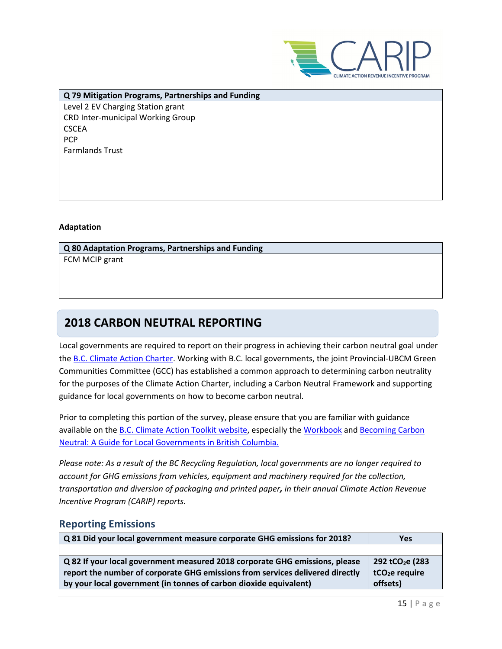

**Q 79 Mitigation Programs, Partnerships and Funding** Level 2 EV Charging Station grant CRD Inter-municipal Working Group **CSCEA PCP** Farmlands Trust

#### **Adaptation**

**Q 80 Adaptation Programs, Partnerships and Funding** FCM MCIP grant

## **2018 CARBON NEUTRAL REPORTING**

Local governments are required to report on their progress in achieving their carbon neutral goal under the [B.C. Climate Action Charter.](https://www2.gov.bc.ca/gov/content/governments/local-governments/climate-action/bc-climate-action-charter) Working with B.C. local governments, the joint Provincial-UBCM Green Communities Committee (GCC) has established a common approach to determining carbon neutrality for the purposes of the Climate Action Charter, including a Carbon Neutral Framework and supporting guidance for local governments on how to become carbon neutral.

Prior to completing this portion of the survey, please ensure that you are familiar with guidance available on th[e B.C. Climate Action Toolkit website,](http://www.toolkit.bc.ca/) especially the [Workbook](https://www.toolkit.bc.ca/sites/default/files/CarbonNeutralWorkbook.V2_noapdcs_03.12_1.pdf) and [Becoming Carbon](http://www.toolkit.bc.ca/sites/default/files/Becoming%20Carbon%20Neutral%20V3%20FINAL%20July%202014_0.pdf)  [Neutral: A Guide for Local Governments in British Columbia.](http://www.toolkit.bc.ca/sites/default/files/Becoming%20Carbon%20Neutral%20V3%20FINAL%20July%202014_0.pdf)

*Please note: As a result of the BC Recycling Regulation, local governments are no longer required to account for GHG emissions from vehicles, equipment and machinery required for the collection, transportation and diversion of packaging and printed paper, in their annual Climate Action Revenue Incentive Program (CARIP) reports.*

## <span id="page-14-0"></span>**Reporting Emissions**

| Q 81 Did your local government measure corporate GHG emissions for 2018?      | Yes                          |
|-------------------------------------------------------------------------------|------------------------------|
|                                                                               |                              |
| Q 82 If your local government measured 2018 corporate GHG emissions, please   | 292 tCO <sub>2</sub> e (283) |
| report the number of corporate GHG emissions from services delivered directly | tCO <sub>2</sub> e require   |
| by your local government (in tonnes of carbon dioxide equivalent)             | offsets)                     |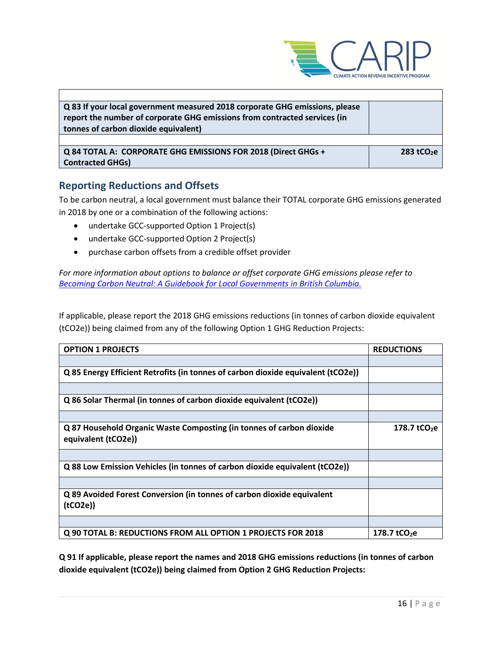

| Q 83 If your local government measured 2018 corporate GHG emissions, please<br>report the number of corporate GHG emissions from contracted services (in<br>tonnes of carbon dioxide equivalent) |               |
|--------------------------------------------------------------------------------------------------------------------------------------------------------------------------------------------------|---------------|
|                                                                                                                                                                                                  |               |
| Q 84 TOTAL A: CORPORATE GHG EMISSIONS FOR 2018 (Direct GHGs +<br><b>Contracted GHGs)</b>                                                                                                         | 283 tCO $2$ e |

## **Reporting Reductions and Offsets**

To be carbon neutral, a local government must balance their TOTAL corporate GHG emissions generated in 2018 by one or a combination of the following actions:

- undertake GCC-supported Option 1 Project(s)
- undertake GCC-supported Option 2 Project(s)
- purchase carbon offsets from a credible offset provider

*For more information about options to balance or offset corporate GHG emissions please refer to [Becoming Carbon Neutral: A Guidebook for Local Governments in British Columbia.](http://www.toolkit.bc.ca/sites/default/files/Becoming%20Carbon%20Neutral%20V3%20FINAL%20July%202014_0.pdf)*

If applicable, please report the 2018 GHG emissions reductions (in tonnes of carbon dioxide equivalent (tCO2e)) being claimed from any of the following Option 1 GHG Reduction Projects:

| <b>OPTION 1 PROJECTS</b>                                                                    | <b>REDUCTIONS</b>        |
|---------------------------------------------------------------------------------------------|--------------------------|
|                                                                                             |                          |
| Q 85 Energy Efficient Retrofits (in tonnes of carbon dioxide equivalent (tCO2e))            |                          |
|                                                                                             |                          |
| Q 86 Solar Thermal (in tonnes of carbon dioxide equivalent (tCO2e))                         |                          |
|                                                                                             |                          |
| Q 87 Household Organic Waste Composting (in tonnes of carbon dioxide<br>equivalent (tCO2e)) | 178.7 tCO <sub>2</sub> e |
|                                                                                             |                          |
| Q 88 Low Emission Vehicles (in tonnes of carbon dioxide equivalent (tCO2e))                 |                          |
|                                                                                             |                          |
| Q 89 Avoided Forest Conversion (in tonnes of carbon dioxide equivalent<br>(tCO2e)           |                          |
|                                                                                             |                          |
| Q 90 TOTAL B: REDUCTIONS FROM ALL OPTION 1 PROJECTS FOR 2018                                | 178.7 $tCO2e$            |

**Q 91 If applicable, please report the names and 2018 GHG emissions reductions (in tonnes of carbon dioxide equivalent (tCO2e)) being claimed from Option 2 GHG Reduction Projects:**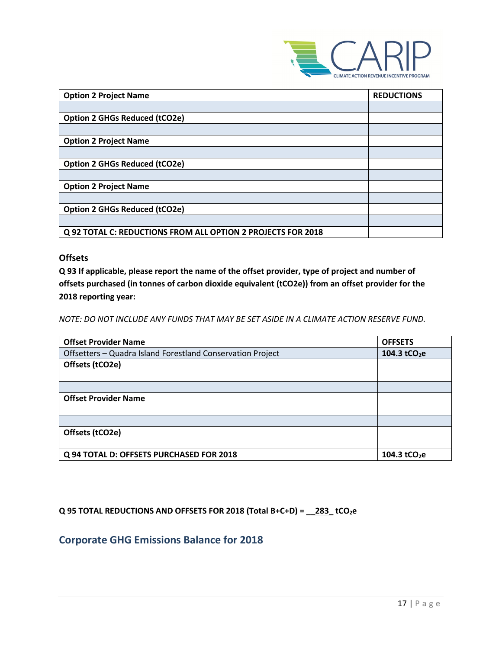

| <b>Option 2 Project Name</b>                                 | <b>REDUCTIONS</b> |
|--------------------------------------------------------------|-------------------|
|                                                              |                   |
| <b>Option 2 GHGs Reduced (tCO2e)</b>                         |                   |
|                                                              |                   |
| <b>Option 2 Project Name</b>                                 |                   |
|                                                              |                   |
| <b>Option 2 GHGs Reduced (tCO2e)</b>                         |                   |
|                                                              |                   |
| <b>Option 2 Project Name</b>                                 |                   |
|                                                              |                   |
| <b>Option 2 GHGs Reduced (tCO2e)</b>                         |                   |
|                                                              |                   |
| Q 92 TOTAL C: REDUCTIONS FROM ALL OPTION 2 PROJECTS FOR 2018 |                   |

#### **Offsets**

**Q 93 If applicable, please report the name of the offset provider, type of project and number of offsets purchased (in tonnes of carbon dioxide equivalent (tCO2e)) from an offset provider for the 2018 reporting year:**

*NOTE: DO NOT INCLUDE ANY FUNDS THAT MAY BE SET ASIDE IN A CLIMATE ACTION RESERVE FUND.*

| <b>Offset Provider Name</b>                                | <b>OFFSETS</b>           |
|------------------------------------------------------------|--------------------------|
| Offsetters - Quadra Island Forestland Conservation Project | 104.3 tCO <sub>2</sub> e |
| Offsets (tCO2e)                                            |                          |
|                                                            |                          |
|                                                            |                          |
| <b>Offset Provider Name</b>                                |                          |
|                                                            |                          |
|                                                            |                          |
| Offsets (tCO2e)                                            |                          |
|                                                            |                          |
| Q 94 TOTAL D: OFFSETS PURCHASED FOR 2018                   | 104.3 tCO <sub>2</sub> e |

## **Q 95 TOTAL REDUCTIONS AND OFFSETS FOR 2018 (Total B+C+D) = \_\_283\_ tCO2e**

## **Corporate GHG Emissions Balance for 2018**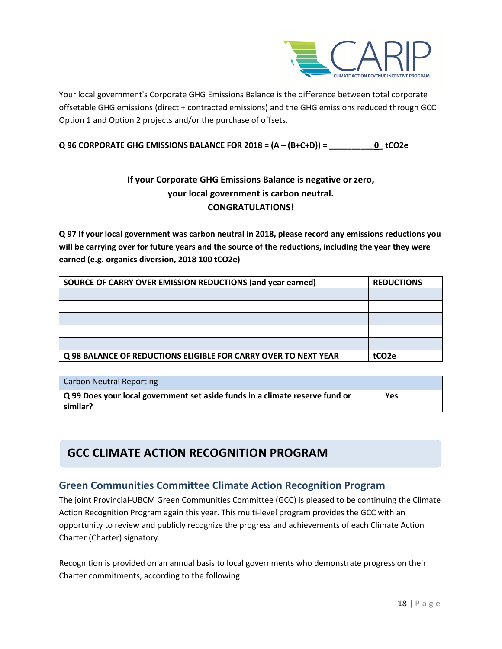

Your local government's Corporate GHG Emissions Balance is the difference between total corporate offsetable GHG emissions (direct + contracted emissions) and the GHG emissions reduced through GCC Option 1 and Option 2 projects and/or the purchase of offsets.

### **Q 96 CORPORATE GHG EMISSIONS BALANCE FOR 2018 = (A – (B+C+D)) = \_\_\_\_\_\_\_\_\_\_0\_ tCO2e**

## **If your Corporate GHG Emissions Balance is negative or zero, your local government is carbon neutral. CONGRATULATIONS!**

**Q 97 If your local government was carbon neutral in 2018, please record any emissions reductions you will be carrying over for future years and the source of the reductions, including the year they were earned (e.g. organics diversion, 2018 100 tCO2e)**

| SOURCE OF CARRY OVER EMISSION REDUCTIONS (and year earned)      | <b>REDUCTIONS</b> |
|-----------------------------------------------------------------|-------------------|
|                                                                 |                   |
|                                                                 |                   |
|                                                                 |                   |
|                                                                 |                   |
|                                                                 |                   |
| Q 98 BALANCE OF REDUCTIONS ELIGIBLE FOR CARRY OVER TO NEXT YEAR | tCO <sub>2e</sub> |

| Carbon Neutral Reporting                                                                        |     |
|-------------------------------------------------------------------------------------------------|-----|
| $\mid$ Q 99 Does your local government set aside funds in a climate reserve fund or<br>similar? | Yes |

# **GCC CLIMATE ACTION RECOGNITION PROGRAM**

## **Green Communities Committee Climate Action Recognition Program**

The joint Provincial-UBCM Green Communities Committee (GCC) is pleased to be continuing the Climate Action Recognition Program again this year. This multi-level program provides the GCC with an opportunity to review and publicly recognize the progress and achievements of each Climate Action Charter (Charter) signatory.

Recognition is provided on an annual basis to local governments who demonstrate progress on their Charter commitments, according to the following: